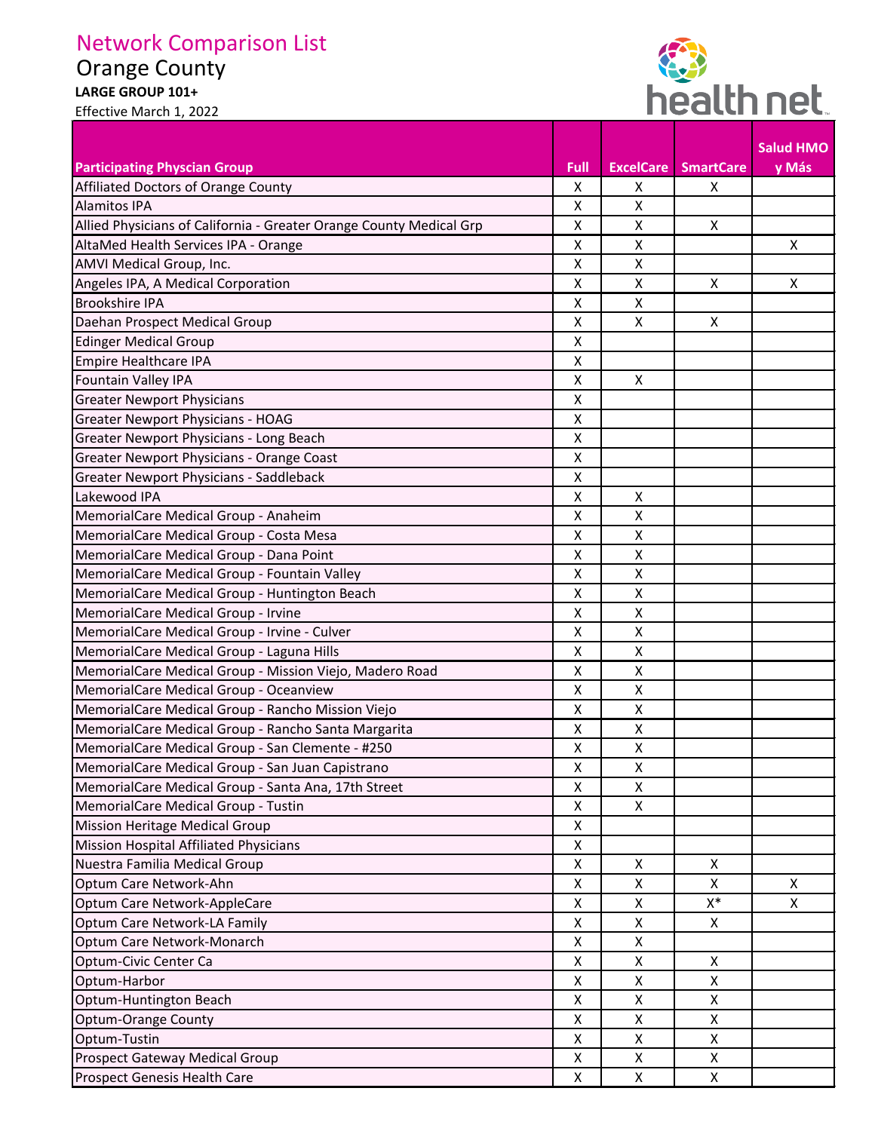## Network Comparison List

## Orange County

Effective March 1, 2022

**LARGE GROUP 101+** 



|                                                                     |                    |                  |                  | <b>Salud HMO</b> |
|---------------------------------------------------------------------|--------------------|------------------|------------------|------------------|
| <b>Participating Physcian Group</b>                                 | Full               | <b>ExcelCare</b> | <b>SmartCare</b> | y Más            |
| Affiliated Doctors of Orange County                                 | X                  | X                | X                |                  |
| <b>Alamitos IPA</b>                                                 | X                  | X                |                  |                  |
| Allied Physicians of California - Greater Orange County Medical Grp | X                  | Χ                | $\mathsf{X}$     |                  |
| AltaMed Health Services IPA - Orange                                | Χ                  | Χ                |                  | X                |
| AMVI Medical Group, Inc.                                            | X                  | Χ                |                  |                  |
| Angeles IPA, A Medical Corporation                                  | $\pmb{\mathsf{X}}$ | Χ                | $\mathsf{X}$     | X                |
| <b>Brookshire IPA</b>                                               | $\pmb{\mathsf{X}}$ | Χ                |                  |                  |
| Daehan Prospect Medical Group                                       | Χ                  | X                | X                |                  |
| <b>Edinger Medical Group</b>                                        | X                  |                  |                  |                  |
| Empire Healthcare IPA                                               | X                  |                  |                  |                  |
| Fountain Valley IPA                                                 | X                  | $\mathsf{x}$     |                  |                  |
| <b>Greater Newport Physicians</b>                                   | Χ                  |                  |                  |                  |
| <b>Greater Newport Physicians - HOAG</b>                            | X                  |                  |                  |                  |
| Greater Newport Physicians - Long Beach                             | Χ                  |                  |                  |                  |
| Greater Newport Physicians - Orange Coast                           | Χ                  |                  |                  |                  |
| <b>Greater Newport Physicians - Saddleback</b>                      | X                  |                  |                  |                  |
| Lakewood IPA                                                        | X                  | X                |                  |                  |
| MemorialCare Medical Group - Anaheim                                | X                  | X                |                  |                  |
| MemorialCare Medical Group - Costa Mesa                             | X                  | Χ                |                  |                  |
| MemorialCare Medical Group - Dana Point                             | Χ                  | Χ                |                  |                  |
| MemorialCare Medical Group - Fountain Valley                        | X                  | X                |                  |                  |
| MemorialCare Medical Group - Huntington Beach                       | Χ                  | Χ                |                  |                  |
| MemorialCare Medical Group - Irvine                                 | X                  | Χ                |                  |                  |
| MemorialCare Medical Group - Irvine - Culver                        | $\pmb{\mathsf{X}}$ | Χ                |                  |                  |
| MemorialCare Medical Group - Laguna Hills                           | Χ                  | Χ                |                  |                  |
| MemorialCare Medical Group - Mission Viejo, Madero Road             | X                  | Χ                |                  |                  |
| MemorialCare Medical Group - Oceanview                              | Χ                  | Χ                |                  |                  |
| MemorialCare Medical Group - Rancho Mission Viejo                   | Χ                  | X                |                  |                  |
| MemorialCare Medical Group - Rancho Santa Margarita                 | X                  | X                |                  |                  |
| MemorialCare Medical Group - San Clemente - #250                    | X                  | X                |                  |                  |
| MemorialCare Medical Group - San Juan Capistrano                    | X                  | X                |                  |                  |
| MemorialCare Medical Group - Santa Ana, 17th Street                 | X                  | $\pmb{\times}$   |                  |                  |
| MemorialCare Medical Group - Tustin                                 | X                  | X                |                  |                  |
| Mission Heritage Medical Group                                      | X                  |                  |                  |                  |
| Mission Hospital Affiliated Physicians                              | X                  |                  |                  |                  |
| Nuestra Familia Medical Group                                       | X                  | X                | X                |                  |
| Optum Care Network-Ahn                                              | Χ                  | Χ                | X                | X                |
| Optum Care Network-AppleCare                                        | X                  | Χ                | $\mathsf{X}^*$   | X                |
| Optum Care Network-LA Family                                        | X                  | X                | X                |                  |
| Optum Care Network-Monarch                                          | X                  | Χ                |                  |                  |
| Optum-Civic Center Ca                                               | X                  | X                | X                |                  |
| Optum-Harbor                                                        | X                  | X                | X                |                  |
| Optum-Huntington Beach                                              | X                  | Χ                | X                |                  |
| <b>Optum-Orange County</b>                                          | X                  | X                | X                |                  |
| Optum-Tustin                                                        | X                  | Χ                | $\mathsf{X}$     |                  |
| Prospect Gateway Medical Group                                      | Χ                  | Χ                | $\mathsf{x}$     |                  |
| Prospect Genesis Health Care                                        | X                  | X                | X                |                  |